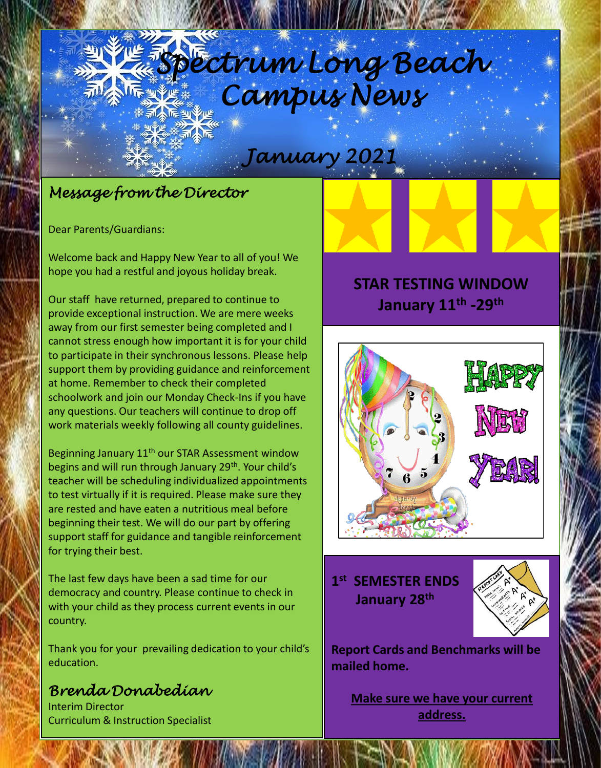## *Spectrum Long Beach Spectrum Long Beach Campus News Campus News*

#### *December 2020 January 2021*

## *Message from the Director*

Dear Parents/Guardians:

Welcome back and Happy New Year to all of you! We hope you had a restful and joyous holiday break.

Our staff have returned, prepared to continue to provide exceptional instruction. We are mere weeks away from our first semester being completed and I cannot stress enough how important it is for your child to participate in their synchronous lessons. Please help support them by providing guidance and reinforcement at home. Remember to check their completed schoolwork and join our Monday Check-Ins if you have any questions. Our teachers will continue to drop off work materials weekly following all county guidelines.

Beginning January 11<sup>th</sup> our STAR Assessment window begins and will run through January 29<sup>th</sup>. Your child's teacher will be scheduling individualized appointments to test virtually if it is required. Please make sure they are rested and have eaten a nutritious meal before beginning their test. We will do our part by offering support staff for guidance and tangible reinforcement for trying their best.

The last few days have been a sad time for our democracy and country. Please continue to check in with your child as they process current events in our country.

Thank you for your prevailing dedication to your child's education.

## *Brenda Donabedian*

Interim Director Curriculum & Instruction Specialist

## **STAR TESTING WINDOW January 11th -29th**



### **1 st SEMESTER ENDS January 28th**



**Report Cards and Benchmarks will be mailed home.** 

**Make sure we have your current address.**